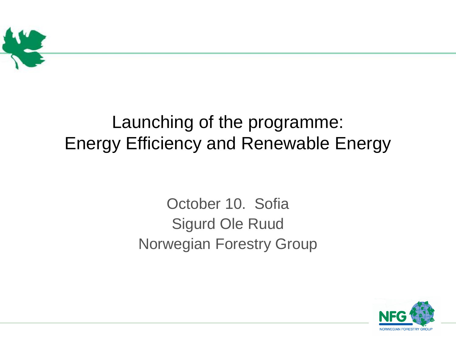

#### Launching of the programme: Energy Efficiency and Renewable Energy

#### October 10. Sofia Sigurd Ole Ruud Norwegian Forestry Group

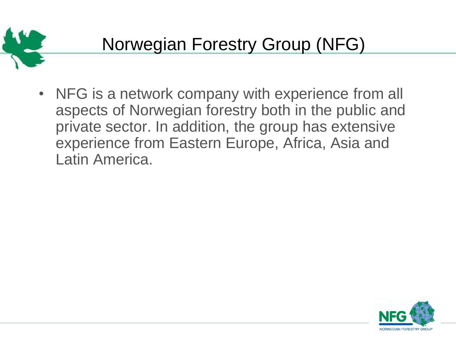

• NFG is a network company with experience from all aspects of Norwegian forestry both in the public and private sector. In addition, the group has extensive experience from Eastern Europe, Africa, Asia and Latin America.

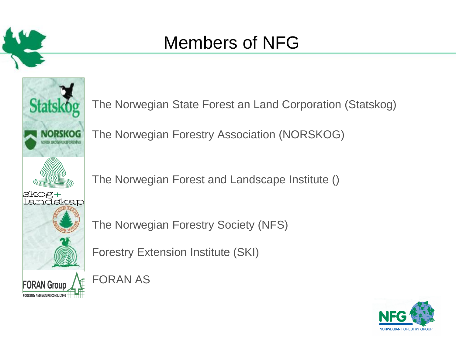

#### Members of NFG



The Norwegian State Forest an Land Corporation (Statskog)

The Norwegian Forestry Association (NORSKOG)

The Norwegian Forest and Landscape Institute ()

The Norwegian Forestry Society (NFS)

Forestry Extension Institute (SKI)

FORAN AS

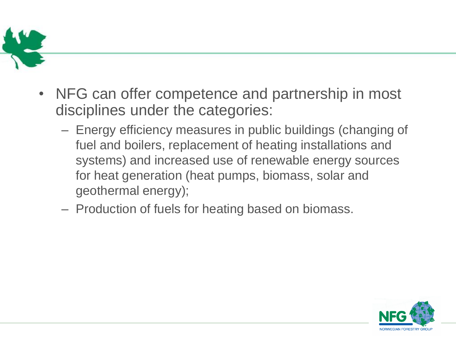

- NFG can offer competence and partnership in most disciplines under the categories:
	- Energy efficiency measures in public buildings (changing of fuel and boilers, replacement of heating installations and systems) and increased use of renewable energy sources for heat generation (heat pumps, biomass, solar and geothermal energy);
	- Production of fuels for heating based on biomass.

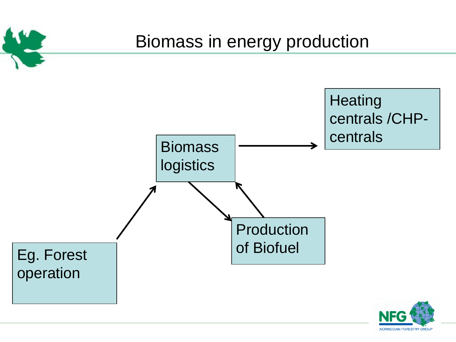

**NORWEGIAN FORESTRY GROUP**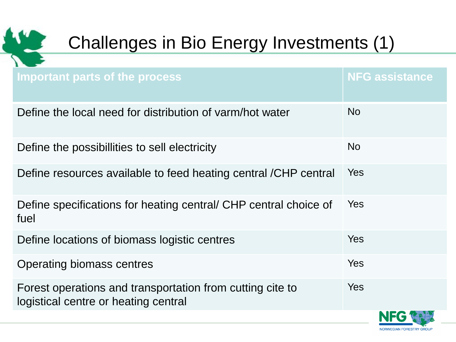

# Challenges in Bio Energy Investments (1)

| Important parts of the process                                                                    | <b>NFG assistance</b>  |
|---------------------------------------------------------------------------------------------------|------------------------|
| Define the local need for distribution of varm/hot water                                          | <b>No</b>              |
| Define the possibillities to sell electricity                                                     | <b>No</b>              |
| Define resources available to feed heating central /CHP central                                   | <b>Yes</b>             |
| Define specifications for heating central/ CHP central choice of<br>fuel                          | <b>Yes</b>             |
| Define locations of biomass logistic centres                                                      | <b>Yes</b>             |
| Operating biomass centres                                                                         | <b>Yes</b>             |
| Forest operations and transportation from cutting cite to<br>logistical centre or heating central | <b>Yes</b>             |
|                                                                                                   | <b>NORWEGIAN FORES</b> |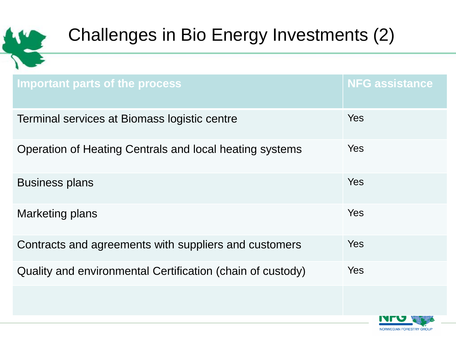

### Challenges in Bio Energy Investments (2)

| Important parts of the process                             | <b>NFG assistance</b> |
|------------------------------------------------------------|-----------------------|
| Terminal services at Biomass logistic centre               | <b>Yes</b>            |
| Operation of Heating Centrals and local heating systems    | Yes                   |
| <b>Business plans</b>                                      | Yes                   |
| <b>Marketing plans</b>                                     | Yes                   |
| Contracts and agreements with suppliers and customers      | <b>Yes</b>            |
| Quality and environmental Certification (chain of custody) | <b>Yes</b>            |

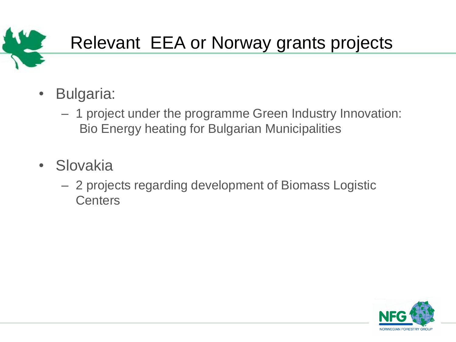

## Relevant EEA or Norway grants projects

- Bulgaria:
	- 1 project under the programme Green Industry Innovation: Bio Energy heating for Bulgarian Municipalities
- Slovakia
	- 2 projects regarding development of Biomass Logistic **Centers**